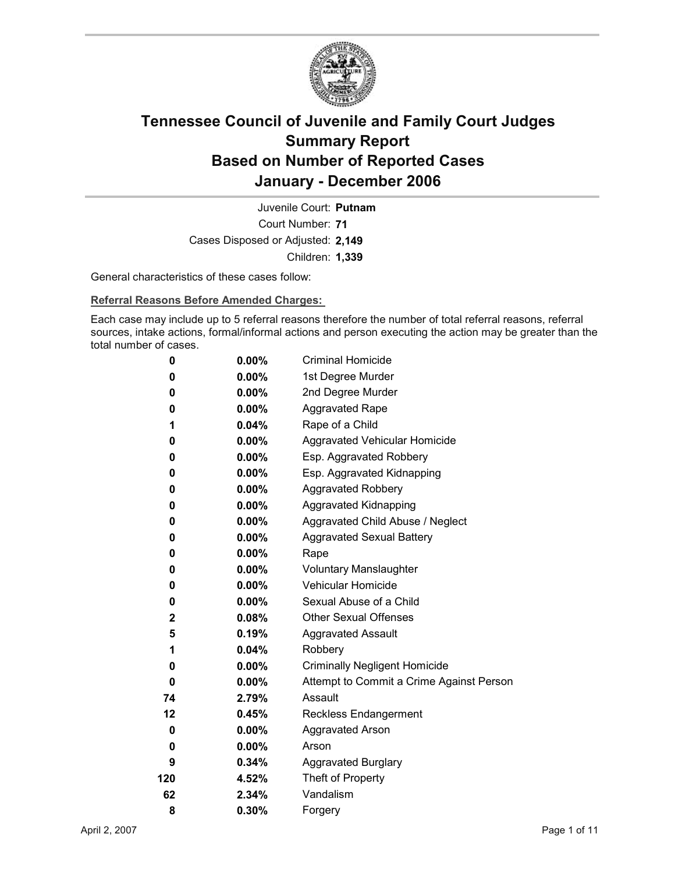

Court Number: **71** Juvenile Court: **Putnam** Cases Disposed or Adjusted: **2,149** Children: **1,339**

General characteristics of these cases follow:

**Referral Reasons Before Amended Charges:** 

Each case may include up to 5 referral reasons therefore the number of total referral reasons, referral sources, intake actions, formal/informal actions and person executing the action may be greater than the total number of cases.

| 0           | 0.00%    | <b>Criminal Homicide</b>                 |
|-------------|----------|------------------------------------------|
| 0           | $0.00\%$ | 1st Degree Murder                        |
| 0           | $0.00\%$ | 2nd Degree Murder                        |
| 0           | $0.00\%$ | <b>Aggravated Rape</b>                   |
| 1           | 0.04%    | Rape of a Child                          |
| 0           | $0.00\%$ | Aggravated Vehicular Homicide            |
| 0           | $0.00\%$ | Esp. Aggravated Robbery                  |
| 0           | $0.00\%$ | Esp. Aggravated Kidnapping               |
| 0           | 0.00%    | <b>Aggravated Robbery</b>                |
| 0           | $0.00\%$ | <b>Aggravated Kidnapping</b>             |
| 0           | $0.00\%$ | Aggravated Child Abuse / Neglect         |
| 0           | $0.00\%$ | <b>Aggravated Sexual Battery</b>         |
| 0           | 0.00%    | Rape                                     |
| 0           | $0.00\%$ | <b>Voluntary Manslaughter</b>            |
| 0           | $0.00\%$ | <b>Vehicular Homicide</b>                |
| 0           | $0.00\%$ | Sexual Abuse of a Child                  |
| $\mathbf 2$ | 0.08%    | <b>Other Sexual Offenses</b>             |
| 5           | 0.19%    | <b>Aggravated Assault</b>                |
| 1           | 0.04%    | Robbery                                  |
| 0           | $0.00\%$ | <b>Criminally Negligent Homicide</b>     |
| 0           | $0.00\%$ | Attempt to Commit a Crime Against Person |
| 74          | 2.79%    | Assault                                  |
| 12          | 0.45%    | <b>Reckless Endangerment</b>             |
| 0           | $0.00\%$ | <b>Aggravated Arson</b>                  |
| 0           | $0.00\%$ | Arson                                    |
| 9           | 0.34%    | <b>Aggravated Burglary</b>               |
| 120         | 4.52%    | Theft of Property                        |
| 62          | 2.34%    | Vandalism                                |
| 8           | 0.30%    | Forgery                                  |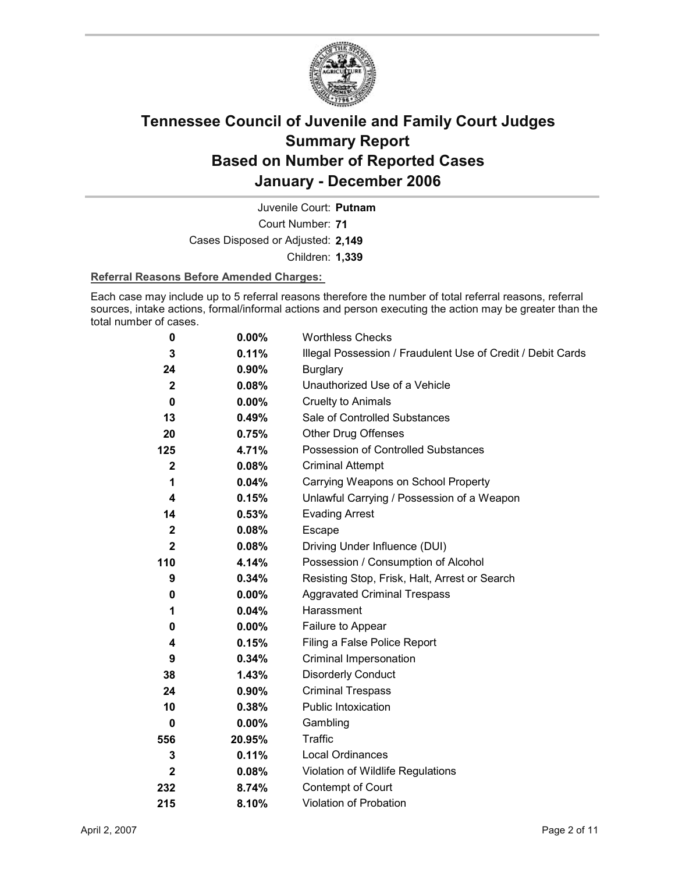

Court Number: **71** Juvenile Court: **Putnam** Cases Disposed or Adjusted: **2,149** Children: **1,339**

### **Referral Reasons Before Amended Charges:**

Each case may include up to 5 referral reasons therefore the number of total referral reasons, referral sources, intake actions, formal/informal actions and person executing the action may be greater than the total number of cases.

| 0            | 0.00%    | <b>Worthless Checks</b>                                     |
|--------------|----------|-------------------------------------------------------------|
| 3            | 0.11%    | Illegal Possession / Fraudulent Use of Credit / Debit Cards |
| 24           | 0.90%    | <b>Burglary</b>                                             |
| $\mathbf{2}$ | 0.08%    | Unauthorized Use of a Vehicle                               |
| $\mathbf 0$  | 0.00%    | <b>Cruelty to Animals</b>                                   |
| 13           | 0.49%    | Sale of Controlled Substances                               |
| 20           | 0.75%    | <b>Other Drug Offenses</b>                                  |
| 125          | 4.71%    | Possession of Controlled Substances                         |
| $\mathbf 2$  | 0.08%    | <b>Criminal Attempt</b>                                     |
| 1            | 0.04%    | Carrying Weapons on School Property                         |
| 4            | 0.15%    | Unlawful Carrying / Possession of a Weapon                  |
| 14           | 0.53%    | <b>Evading Arrest</b>                                       |
| $\mathbf{2}$ | 0.08%    | Escape                                                      |
| $\mathbf{2}$ | 0.08%    | Driving Under Influence (DUI)                               |
| 110          | 4.14%    | Possession / Consumption of Alcohol                         |
| 9            | 0.34%    | Resisting Stop, Frisk, Halt, Arrest or Search               |
| 0            | $0.00\%$ | <b>Aggravated Criminal Trespass</b>                         |
| 1            | 0.04%    | Harassment                                                  |
| 0            | 0.00%    | Failure to Appear                                           |
| 4            | 0.15%    | Filing a False Police Report                                |
| 9            | 0.34%    | Criminal Impersonation                                      |
| 38           | 1.43%    | <b>Disorderly Conduct</b>                                   |
| 24           | 0.90%    | <b>Criminal Trespass</b>                                    |
| 10           | 0.38%    | <b>Public Intoxication</b>                                  |
| 0            | $0.00\%$ | Gambling                                                    |
| 556          | 20.95%   | <b>Traffic</b>                                              |
| 3            | 0.11%    | Local Ordinances                                            |
| $\mathbf{2}$ | 0.08%    | Violation of Wildlife Regulations                           |
| 232          | 8.74%    | Contempt of Court                                           |
| 215          | 8.10%    | Violation of Probation                                      |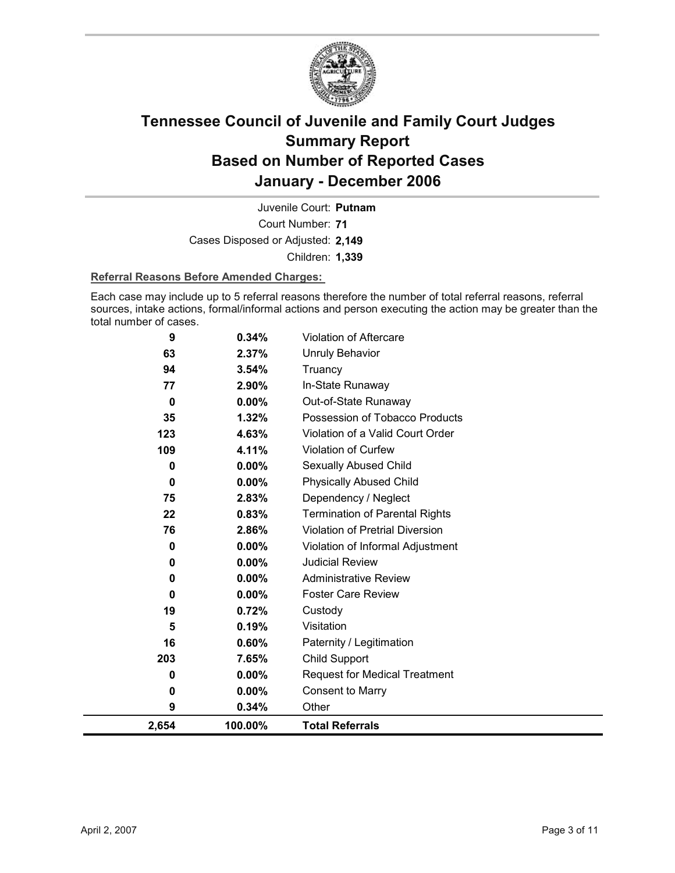

Court Number: **71** Juvenile Court: **Putnam** Cases Disposed or Adjusted: **2,149** Children: **1,339**

### **Referral Reasons Before Amended Charges:**

Each case may include up to 5 referral reasons therefore the number of total referral reasons, referral sources, intake actions, formal/informal actions and person executing the action may be greater than the total number of cases.

| 9     | 0.34%    | <b>Violation of Aftercare</b>          |
|-------|----------|----------------------------------------|
| 63    | 2.37%    | Unruly Behavior                        |
| 94    | 3.54%    | Truancy                                |
| 77    | 2.90%    | In-State Runaway                       |
| 0     | $0.00\%$ | Out-of-State Runaway                   |
| 35    | 1.32%    | Possession of Tobacco Products         |
| 123   | 4.63%    | Violation of a Valid Court Order       |
| 109   | 4.11%    | Violation of Curfew                    |
| 0     | 0.00%    | Sexually Abused Child                  |
| 0     | $0.00\%$ | <b>Physically Abused Child</b>         |
| 75    | 2.83%    | Dependency / Neglect                   |
| 22    | 0.83%    | <b>Termination of Parental Rights</b>  |
| 76    | 2.86%    | <b>Violation of Pretrial Diversion</b> |
| 0     | 0.00%    | Violation of Informal Adjustment       |
| 0     | 0.00%    | <b>Judicial Review</b>                 |
| 0     | 0.00%    | <b>Administrative Review</b>           |
| 0     | $0.00\%$ | <b>Foster Care Review</b>              |
| 19    | 0.72%    | Custody                                |
| 5     | 0.19%    | Visitation                             |
| 16    | 0.60%    | Paternity / Legitimation               |
| 203   | 7.65%    | Child Support                          |
| 0     | $0.00\%$ | <b>Request for Medical Treatment</b>   |
| 0     | $0.00\%$ | <b>Consent to Marry</b>                |
| 9     | 0.34%    | Other                                  |
| 2,654 | 100.00%  | <b>Total Referrals</b>                 |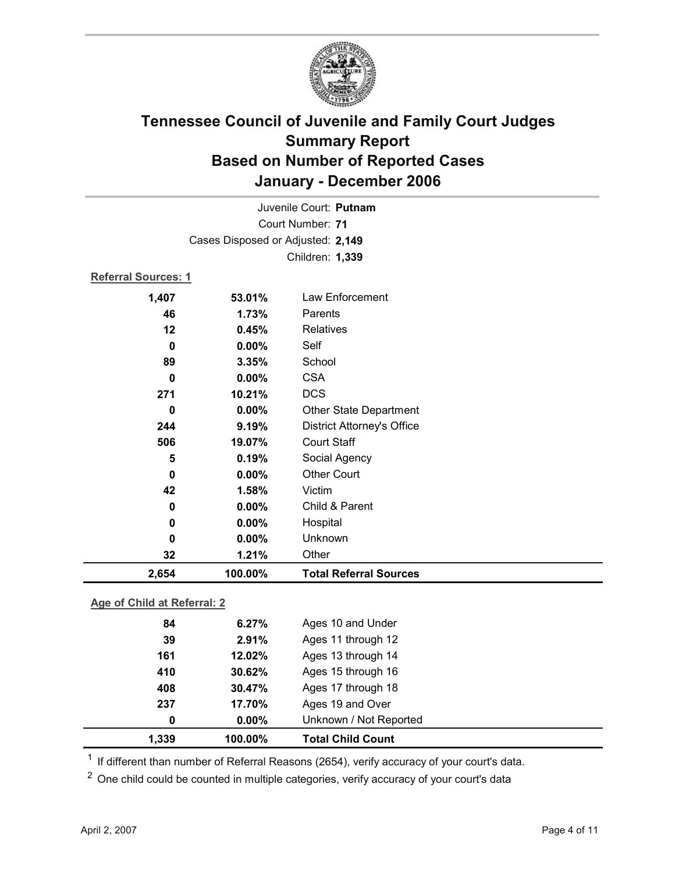

| Juvenile Court: Putnam            |                 |                                   |  |  |  |  |
|-----------------------------------|-----------------|-----------------------------------|--|--|--|--|
| Court Number: 71                  |                 |                                   |  |  |  |  |
| Cases Disposed or Adjusted: 2,149 |                 |                                   |  |  |  |  |
|                                   | Children: 1,339 |                                   |  |  |  |  |
| <b>Referral Sources: 1</b>        |                 |                                   |  |  |  |  |
| 1,407                             | 53.01%          | Law Enforcement                   |  |  |  |  |
| 46                                | 1.73%           | Parents                           |  |  |  |  |
| 12                                | 0.45%           | <b>Relatives</b>                  |  |  |  |  |
| $\bf{0}$                          | 0.00%           | Self                              |  |  |  |  |
| 89                                | 3.35%           | School                            |  |  |  |  |
| $\bf{0}$                          | 0.00%           | <b>CSA</b>                        |  |  |  |  |
| 271                               | 10.21%          | <b>DCS</b>                        |  |  |  |  |
| $\mathbf 0$                       | 0.00%           | <b>Other State Department</b>     |  |  |  |  |
| 244                               | 9.19%           | <b>District Attorney's Office</b> |  |  |  |  |
| 506                               | 19.07%          | <b>Court Staff</b>                |  |  |  |  |
| 5                                 | 0.19%           | Social Agency                     |  |  |  |  |
| $\mathbf 0$                       | 0.00%           | <b>Other Court</b>                |  |  |  |  |
| 42                                | 1.58%           | Victim                            |  |  |  |  |
| 0                                 | 0.00%           | Child & Parent                    |  |  |  |  |
| 0                                 | 0.00%           | Hospital                          |  |  |  |  |
| 0                                 | 0.00%           | Unknown                           |  |  |  |  |
| 32                                | 1.21%           | Other                             |  |  |  |  |
| 2,654                             | 100.00%         | <b>Total Referral Sources</b>     |  |  |  |  |
| Age of Child at Referral: 2       |                 |                                   |  |  |  |  |
| 6.27%<br>Ages 10 and Under        |                 |                                   |  |  |  |  |
| 84                                |                 |                                   |  |  |  |  |

| 1.339 | 100.00%  | <b>Total Child Count</b> |  |
|-------|----------|--------------------------|--|
| 0     | $0.00\%$ | Unknown / Not Reported   |  |
| 237   | 17.70%   | Ages 19 and Over         |  |
| 408   | 30.47%   | Ages 17 through 18       |  |
| 410   | 30.62%   | Ages 15 through 16       |  |
| 161   | 12.02%   | Ages 13 through 14       |  |
| 39    | 2.91%    | Ages 11 through 12       |  |
| 84    | 6.27%    | Ages 10 and Under        |  |

 $1$  If different than number of Referral Reasons (2654), verify accuracy of your court's data.

<sup>2</sup> One child could be counted in multiple categories, verify accuracy of your court's data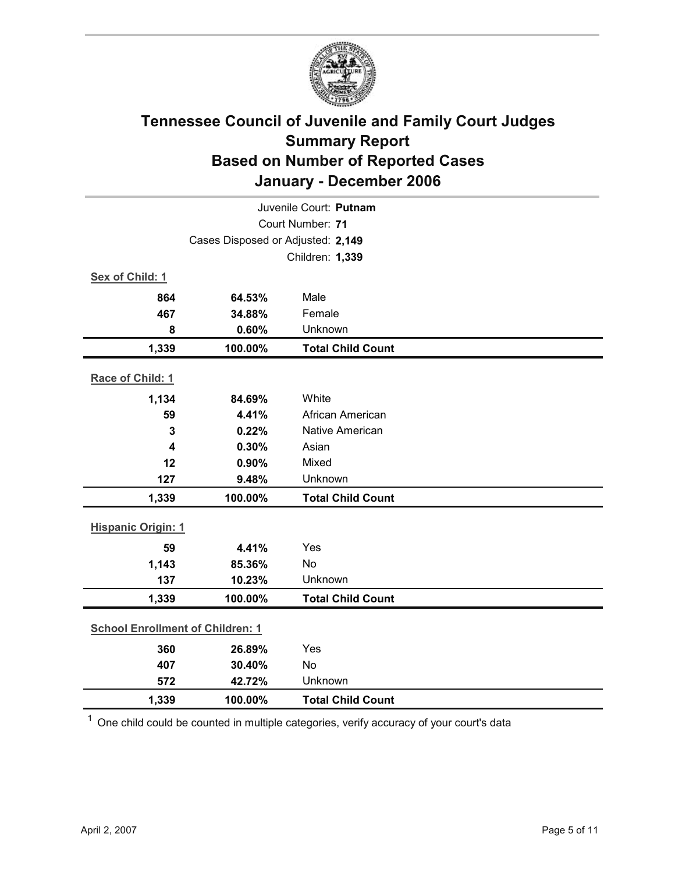

| Juvenile Court: Putnam                  |                                   |                          |  |  |
|-----------------------------------------|-----------------------------------|--------------------------|--|--|
|                                         | Court Number: 71                  |                          |  |  |
|                                         | Cases Disposed or Adjusted: 2,149 |                          |  |  |
|                                         |                                   | Children: 1,339          |  |  |
| Sex of Child: 1                         |                                   |                          |  |  |
| 864                                     | 64.53%                            | Male                     |  |  |
| 467                                     | 34.88%                            | Female                   |  |  |
| 8                                       | 0.60%                             | Unknown                  |  |  |
| 1,339                                   | 100.00%                           | <b>Total Child Count</b> |  |  |
| Race of Child: 1                        |                                   |                          |  |  |
| 1,134                                   | 84.69%                            | White                    |  |  |
| 59                                      | 4.41%                             | African American         |  |  |
| 3                                       | 0.22%                             | <b>Native American</b>   |  |  |
| 4                                       | 0.30%                             | Asian                    |  |  |
| 12                                      | 0.90%                             | Mixed                    |  |  |
| 127                                     | 9.48%                             | Unknown                  |  |  |
| 1,339                                   | 100.00%                           | <b>Total Child Count</b> |  |  |
| <b>Hispanic Origin: 1</b>               |                                   |                          |  |  |
| 59                                      | 4.41%                             | Yes                      |  |  |
| 1,143                                   | 85.36%                            | No                       |  |  |
| 137                                     | 10.23%                            | Unknown                  |  |  |
| 1,339                                   | 100.00%                           | <b>Total Child Count</b> |  |  |
| <b>School Enrollment of Children: 1</b> |                                   |                          |  |  |
| 360                                     | 26.89%                            | Yes                      |  |  |
| 407                                     | 30.40%                            | No                       |  |  |
| 572                                     | 42.72%                            | Unknown                  |  |  |
| 1,339                                   | 100.00%                           | <b>Total Child Count</b> |  |  |

 $1$  One child could be counted in multiple categories, verify accuracy of your court's data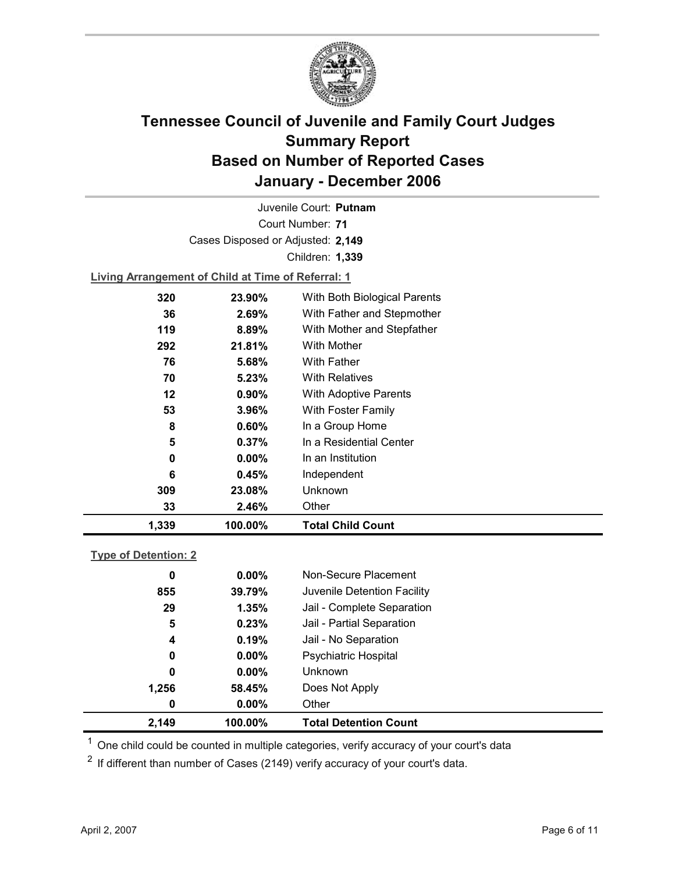

Court Number: **71** Juvenile Court: **Putnam** Cases Disposed or Adjusted: **2,149** Children: **1,339**

**Living Arrangement of Child at Time of Referral: 1**

| 1,339 | 100.00%  | <b>Total Child Count</b>     |
|-------|----------|------------------------------|
| 33    | 2.46%    | Other                        |
| 309   | 23.08%   | Unknown                      |
| 6     | 0.45%    | Independent                  |
| 0     | $0.00\%$ | In an Institution            |
| 5     | $0.37\%$ | In a Residential Center      |
| 8     | $0.60\%$ | In a Group Home              |
| 53    | $3.96\%$ | <b>With Foster Family</b>    |
| 12    | $0.90\%$ | <b>With Adoptive Parents</b> |
| 70    | 5.23%    | <b>With Relatives</b>        |
| 76    | 5.68%    | With Father                  |
| 292   | 21.81%   | With Mother                  |
| 119   | 8.89%    | With Mother and Stepfather   |
| 36    | 2.69%    | With Father and Stepmother   |
| 320   | 23.90%   | With Both Biological Parents |
|       |          |                              |

### **Type of Detention: 2**

| 2,149 | 100.00%  | <b>Total Detention Count</b> |  |
|-------|----------|------------------------------|--|
| 0     | $0.00\%$ | Other                        |  |
| 1,256 | 58.45%   | Does Not Apply               |  |
| 0     | $0.00\%$ | <b>Unknown</b>               |  |
| 0     | $0.00\%$ | <b>Psychiatric Hospital</b>  |  |
| 4     | 0.19%    | Jail - No Separation         |  |
| 5     | 0.23%    | Jail - Partial Separation    |  |
| 29    | 1.35%    | Jail - Complete Separation   |  |
| 855   | 39.79%   | Juvenile Detention Facility  |  |
| 0     | $0.00\%$ | Non-Secure Placement         |  |
|       |          |                              |  |

 $<sup>1</sup>$  One child could be counted in multiple categories, verify accuracy of your court's data</sup>

 $2$  If different than number of Cases (2149) verify accuracy of your court's data.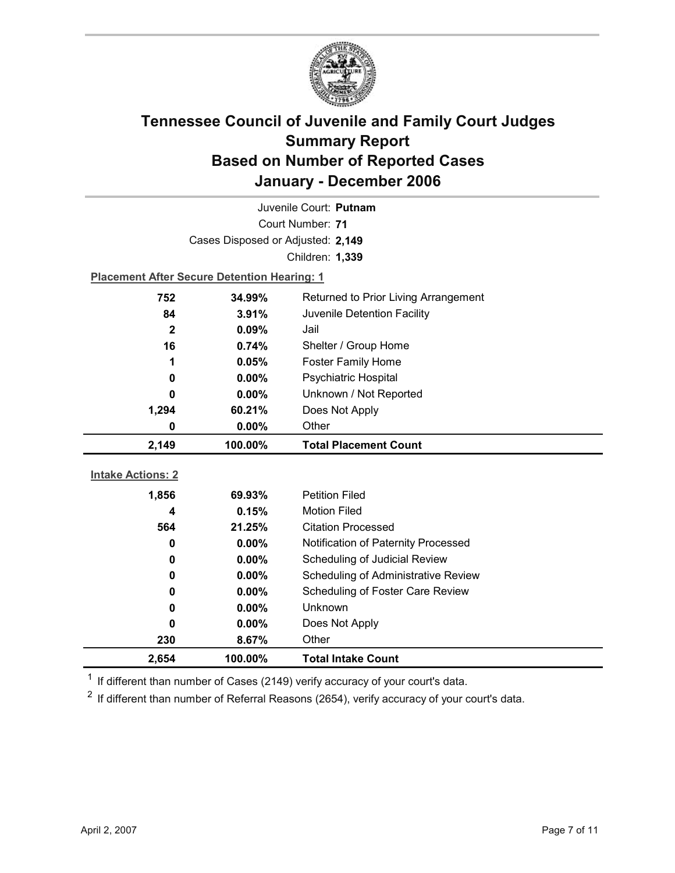

| Juvenile Court: Putnam   |                                                    |                                      |  |  |
|--------------------------|----------------------------------------------------|--------------------------------------|--|--|
|                          | Court Number: 71                                   |                                      |  |  |
|                          | Cases Disposed or Adjusted: 2,149                  |                                      |  |  |
|                          |                                                    | Children: 1,339                      |  |  |
|                          | <b>Placement After Secure Detention Hearing: 1</b> |                                      |  |  |
| 752                      | 34.99%                                             | Returned to Prior Living Arrangement |  |  |
| 84                       | 3.91%                                              | Juvenile Detention Facility          |  |  |
| $\mathbf{2}$             | 0.09%                                              | Jail                                 |  |  |
| 16                       | 0.74%                                              | Shelter / Group Home                 |  |  |
| 1                        | 0.05%                                              | <b>Foster Family Home</b>            |  |  |
| 0                        | 0.00%                                              | <b>Psychiatric Hospital</b>          |  |  |
| 0                        | 0.00%                                              | Unknown / Not Reported               |  |  |
| 1,294                    | 60.21%                                             | Does Not Apply                       |  |  |
| 0                        | 0.00%                                              | Other                                |  |  |
|                          |                                                    |                                      |  |  |
| 2,149                    | 100.00%                                            | <b>Total Placement Count</b>         |  |  |
|                          |                                                    |                                      |  |  |
| <b>Intake Actions: 2</b> |                                                    |                                      |  |  |
| 1,856                    | 69.93%                                             | <b>Petition Filed</b>                |  |  |
| 4                        | 0.15%                                              | <b>Motion Filed</b>                  |  |  |
| 564                      | 21.25%                                             | <b>Citation Processed</b>            |  |  |
| 0                        | 0.00%                                              | Notification of Paternity Processed  |  |  |
| 0                        | 0.00%                                              | Scheduling of Judicial Review        |  |  |
| 0                        | 0.00%                                              | Scheduling of Administrative Review  |  |  |
| 0                        | $0.00\%$                                           | Scheduling of Foster Care Review     |  |  |
| 0                        | 0.00%                                              | <b>Unknown</b>                       |  |  |
| 0                        | $0.00\%$                                           | Does Not Apply                       |  |  |
| 230                      | 8.67%                                              | Other                                |  |  |

 $1$  If different than number of Cases (2149) verify accuracy of your court's data.

 $2$  If different than number of Referral Reasons (2654), verify accuracy of your court's data.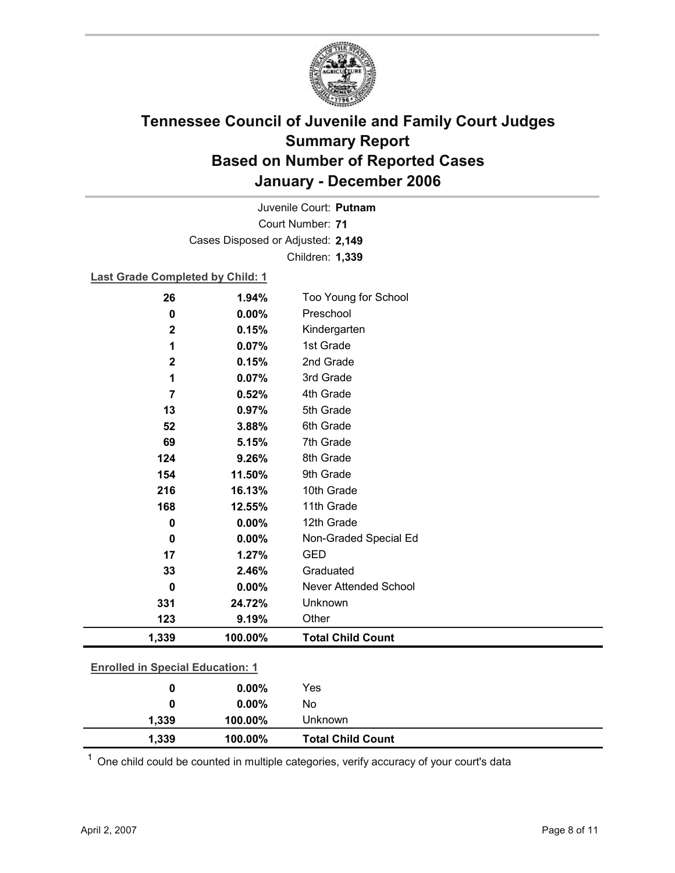

Court Number: **71** Juvenile Court: **Putnam** Cases Disposed or Adjusted: **2,149** Children: **1,339**

### **Last Grade Completed by Child: 1**

| 0                                       | 0.00%   | No                           |  |
|-----------------------------------------|---------|------------------------------|--|
| $\mathbf 0$                             | 0.00%   | Yes                          |  |
| <b>Enrolled in Special Education: 1</b> |         |                              |  |
| 1,339                                   | 100.00% | <b>Total Child Count</b>     |  |
| 123                                     | 9.19%   | Other                        |  |
| 331                                     | 24.72%  | Unknown                      |  |
| $\mathbf 0$                             | 0.00%   | <b>Never Attended School</b> |  |
| 33                                      | 2.46%   | Graduated                    |  |
| 17                                      | 1.27%   | <b>GED</b>                   |  |
| $\bf{0}$                                | 0.00%   | Non-Graded Special Ed        |  |
| 0                                       | 0.00%   | 12th Grade                   |  |
| 168                                     | 12.55%  | 11th Grade                   |  |
| 216                                     | 16.13%  | 10th Grade                   |  |
| 154                                     | 11.50%  | 9th Grade                    |  |
| 124                                     | 9.26%   | 8th Grade                    |  |
| 69                                      | 5.15%   | 7th Grade                    |  |
| 52                                      | 3.88%   | 6th Grade                    |  |
| 13                                      | 0.97%   | 5th Grade                    |  |
| $\overline{7}$                          | 0.52%   | 4th Grade                    |  |
| 1                                       | 0.07%   | 3rd Grade                    |  |
| $\mathbf 2$                             | 0.15%   | 2nd Grade                    |  |
| 1                                       | 0.07%   | 1st Grade                    |  |
| $\mathbf 2$                             | 0.15%   | Kindergarten                 |  |
| 0                                       | 0.00%   | Preschool                    |  |
| 26                                      | 1.94%   | Too Young for School         |  |

 $1$  One child could be counted in multiple categories, verify accuracy of your court's data

**1,339 100.00%** Unknown

**1,339 100.00% Total Child Count**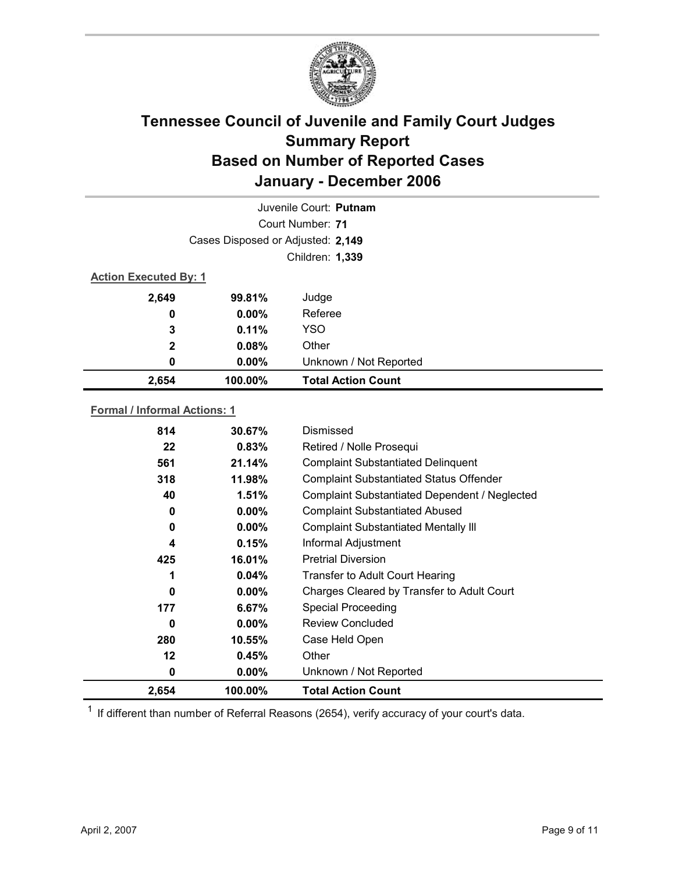

|                                     |                                    | Juvenile Court: Putnam    |  |  |
|-------------------------------------|------------------------------------|---------------------------|--|--|
|                                     |                                    | Court Number: 71          |  |  |
|                                     | Cases Disposed or Adjusted: 2,149  |                           |  |  |
|                                     |                                    | Children: 1,339           |  |  |
|                                     | <b>Action Executed By: 1</b>       |                           |  |  |
| 2,649                               | 99.81%                             | Judge                     |  |  |
| 0                                   | $0.00\%$                           | Referee                   |  |  |
| 3                                   | 0.11%                              | <b>YSO</b>                |  |  |
| 2                                   | 0.08%                              | Other                     |  |  |
| 0                                   | 0.00%                              | Unknown / Not Reported    |  |  |
| 2,654                               | 100.00%                            | <b>Total Action Count</b> |  |  |
| <b>Formal / Informal Actions: 1</b> |                                    |                           |  |  |
| 814                                 | 30.67%                             | Dismissed                 |  |  |
| $\rightarrow$                       | $\sim$ $\sim$ $\sim$ $\sim$ $\sim$ |                           |  |  |

| 2,654 | 100.00%   | <b>Total Action Count</b>                      |
|-------|-----------|------------------------------------------------|
| 0     | $0.00\%$  | Unknown / Not Reported                         |
| 12    | 0.45%     | Other                                          |
| 280   | $10.55\%$ | Case Held Open                                 |
| 0     | $0.00\%$  | <b>Review Concluded</b>                        |
| 177   | 6.67%     | <b>Special Proceeding</b>                      |
| 0     | $0.00\%$  | Charges Cleared by Transfer to Adult Court     |
| 1     | 0.04%     | Transfer to Adult Court Hearing                |
| 425   | 16.01%    | <b>Pretrial Diversion</b>                      |
| 4     | 0.15%     | Informal Adjustment                            |
| 0     | $0.00\%$  | <b>Complaint Substantiated Mentally III</b>    |
| 0     | $0.00\%$  | <b>Complaint Substantiated Abused</b>          |
| 40    | 1.51%     | Complaint Substantiated Dependent / Neglected  |
| 318   | 11.98%    | <b>Complaint Substantiated Status Offender</b> |
| 561   | 21.14%    | <b>Complaint Substantiated Delinquent</b>      |
| 22    | 0.83%     | Retired / Nolle Prosequi                       |
| 814   | 30.67%    | Dismissed                                      |

 $1$  If different than number of Referral Reasons (2654), verify accuracy of your court's data.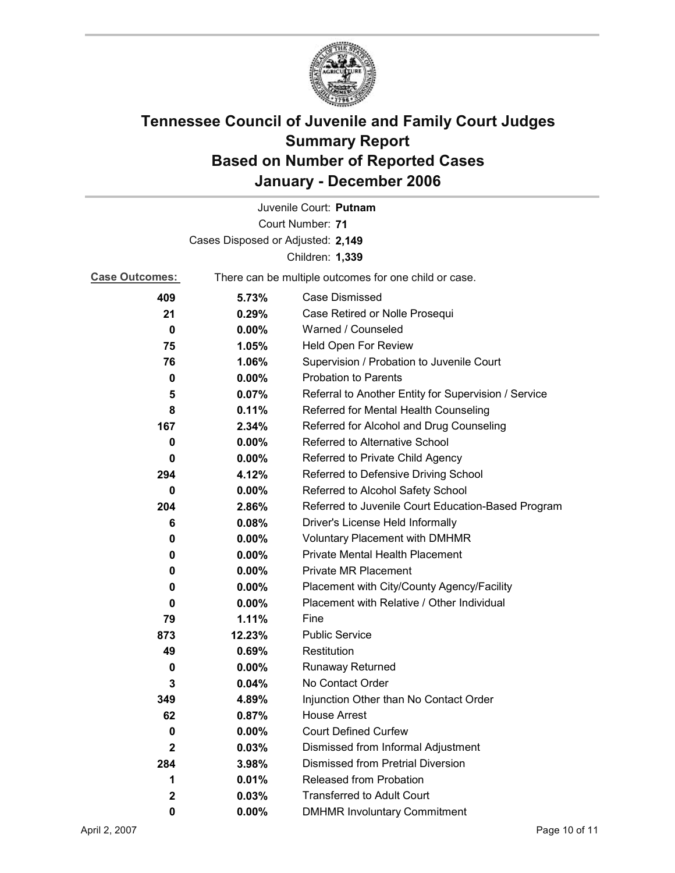

|                                   |                                                       | Juvenile Court: Putnam                               |
|-----------------------------------|-------------------------------------------------------|------------------------------------------------------|
|                                   |                                                       | Court Number: 71                                     |
| Cases Disposed or Adjusted: 2,149 |                                                       |                                                      |
|                                   |                                                       | Children: 1,339                                      |
| <b>Case Outcomes:</b>             | There can be multiple outcomes for one child or case. |                                                      |
| 409                               | 5.73%                                                 | <b>Case Dismissed</b>                                |
| 21                                | 0.29%                                                 | Case Retired or Nolle Prosequi                       |
| 0                                 | $0.00\%$                                              | Warned / Counseled                                   |
| 75                                | 1.05%                                                 | Held Open For Review                                 |
| 76                                | 1.06%                                                 | Supervision / Probation to Juvenile Court            |
| 0                                 | $0.00\%$                                              | <b>Probation to Parents</b>                          |
| 5                                 | 0.07%                                                 | Referral to Another Entity for Supervision / Service |
| 8                                 | 0.11%                                                 | Referred for Mental Health Counseling                |
| 167                               | 2.34%                                                 | Referred for Alcohol and Drug Counseling             |
| 0                                 | $0.00\%$                                              | <b>Referred to Alternative School</b>                |
| 0                                 | $0.00\%$                                              | Referred to Private Child Agency                     |
| 294                               | 4.12%                                                 | Referred to Defensive Driving School                 |
| 0                                 | $0.00\%$                                              | Referred to Alcohol Safety School                    |
| 204                               | 2.86%                                                 | Referred to Juvenile Court Education-Based Program   |
| 6                                 | 0.08%                                                 | Driver's License Held Informally                     |
| 0                                 | $0.00\%$                                              | <b>Voluntary Placement with DMHMR</b>                |
| 0                                 | $0.00\%$                                              | Private Mental Health Placement                      |
| 0                                 | $0.00\%$                                              | <b>Private MR Placement</b>                          |
| 0                                 | $0.00\%$                                              | Placement with City/County Agency/Facility           |
| 0                                 | $0.00\%$                                              | Placement with Relative / Other Individual           |
| 79                                | 1.11%                                                 | Fine                                                 |
| 873                               | 12.23%                                                | <b>Public Service</b>                                |
| 49                                | 0.69%                                                 | Restitution                                          |
| 0                                 | 0.00%                                                 | <b>Runaway Returned</b>                              |
| 3                                 | $0.04\%$                                              | No Contact Order                                     |
| 349                               | 4.89%                                                 | Injunction Other than No Contact Order               |
| 62                                | 0.87%                                                 | <b>House Arrest</b>                                  |
| 0                                 | $0.00\%$                                              | <b>Court Defined Curfew</b>                          |
| $\mathbf{2}$                      | 0.03%                                                 | Dismissed from Informal Adjustment                   |
| 284                               | 3.98%                                                 | <b>Dismissed from Pretrial Diversion</b>             |
| 1                                 | 0.01%                                                 | Released from Probation                              |
| $\mathbf{2}$                      | 0.03%                                                 | <b>Transferred to Adult Court</b>                    |
| 0                                 | $0.00\%$                                              | <b>DMHMR Involuntary Commitment</b>                  |